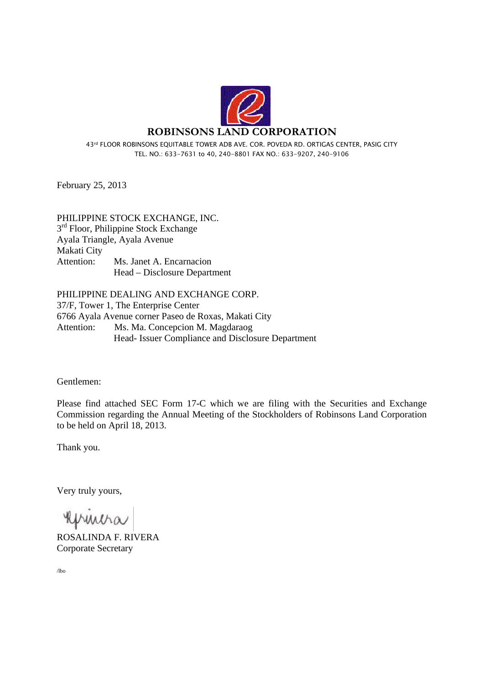

43rd FLOOR ROBINSONS EQUITABLE TOWER ADB AVE. COR. POVEDA RD. ORTIGAS CENTER, PASIG CITY TEL. NO.: 633-7631 to 40, 240-8801 FAX NO.: 633-9207, 240-9106

February 25, 2013

PHILIPPINE STOCK EXCHANGE, INC.  $3<sup>rd</sup>$  Floor, Philippine Stock Exchange Ayala Triangle, Ayala Avenue Makati City Attention: Ms. Janet A. Encarnacion Head – Disclosure Department

PHILIPPINE DEALING AND EXCHANGE CORP.

37/F, Tower 1, The Enterprise Center 6766 Ayala Avenue corner Paseo de Roxas, Makati City Attention: Ms. Ma. Concepcion M. Magdaraog Head- Issuer Compliance and Disclosure Department

Gentlemen:

Please find attached SEC Form 17-C which we are filing with the Securities and Exchange Commission regarding the Annual Meeting of the Stockholders of Robinsons Land Corporation to be held on April 18, 2013.

Thank you.

Very truly yours,

huna

ROSALINDA F. RIVERA Corporate Secretary

/lbo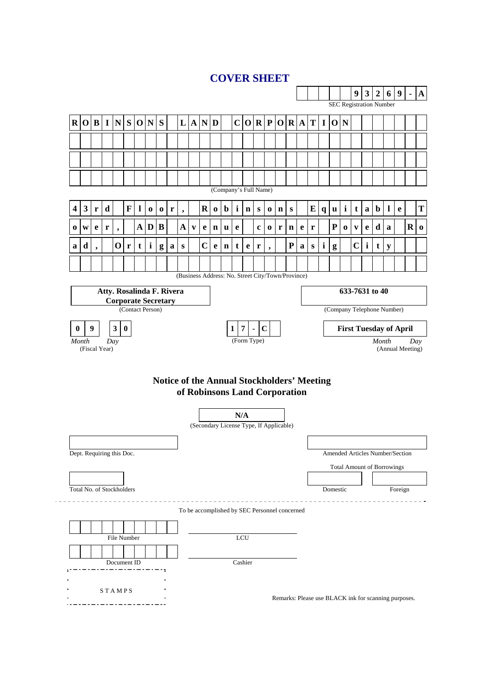## **COVER SHEET**

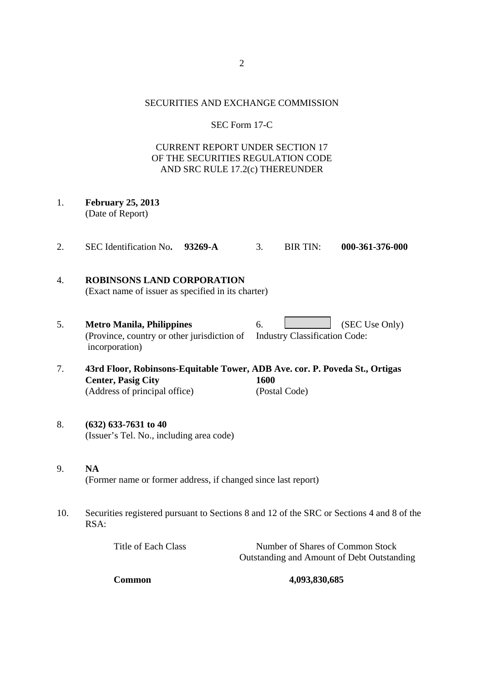## SECURITIES AND EXCHANGE COMMISSION

## SEC Form 17-C

## CURRENT REPORT UNDER SECTION 17 OF THE SECURITIES REGULATION CODE AND SRC RULE 17.2(c) THEREUNDER

- 1. **February 25, 2013**  (Date of Report)
- 2. SEC Identification No**. 93269-A** 3. BIR TIN: **000-361-376-000**

# 4. **ROBINSONS LAND CORPORATION**

- (Exact name of issuer as specified in its charter)
- 5. **Metro Manila, Philippines** 6. (SEC Use Only) (Province, country or other jurisdiction of Industry Classification Code: incorporation)
- 7. **43rd Floor, Robinsons-Equitable Tower, ADB Ave. cor. P. Poveda St., Ortigas Center, Pasig City 1600**  (Address of principal office) (Postal Code)

## 8. **(632) 633-7631 to 40**  (Issuer's Tel. No., including area code)

- 9. **NA**  (Former name or former address, if changed since last report)
- 10. Securities registered pursuant to Sections 8 and 12 of the SRC or Sections 4 and 8 of the RSA:

| Title of Each Class | Number of Shares of Common Stock           |
|---------------------|--------------------------------------------|
|                     | Outstanding and Amount of Debt Outstanding |

**Common 4,093,830,685**